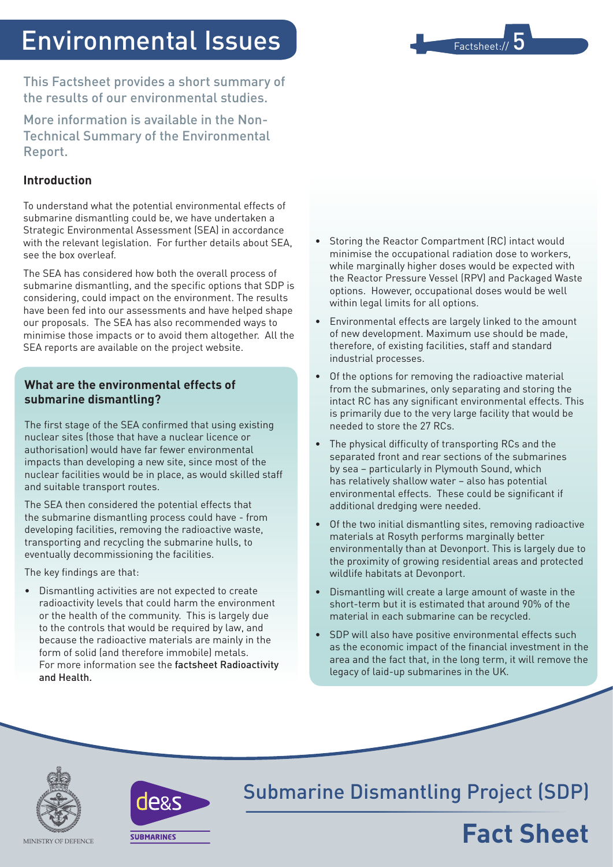# Environmental Issues

This Factsheet provides a short summary of the results of our environmental studies.

More information is available in the Non-Technical Summary of the Environmental Report.

### **Introduction**

To understand what the potential environmental effects of submarine dismantling could be, we have undertaken a Strategic Environmental Assessment (SEA) in accordance with the relevant legislation. For further details about SEA, see the box overleaf.

The SEA has considered how both the overall process of submarine dismantling, and the specific options that SDP is considering, could impact on the environment. The results have been fed into our assessments and have helped shape our proposals. The SEA has also recommended ways to minimise those impacts or to avoid them altogether. All the SEA reports are available on the project website.

### **What are the environmental effects of submarine dismantling?**

The first stage of the SEA confirmed that using existing nuclear sites (those that have a nuclear licence or authorisation) would have far fewer environmental impacts than developing a new site, since most of the nuclear facilities would be in place, as would skilled staff and suitable transport routes.

The SEA then considered the potential effects that the submarine dismantling process could have - from developing facilities, removing the radioactive waste, transporting and recycling the submarine hulls, to eventually decommissioning the facilities.

The key findings are that:

• Dismantling activities are not expected to create radioactivity levels that could harm the environment or the health of the community. This is largely due to the controls that would be required by law, and because the radioactive materials are mainly in the form of solid (and therefore immobile) metals. For more information see the factsheet Radioactivity and Health.

Storing the Reactor Compartment (RC) intact would minimise the occupational radiation dose to workers, while marginally higher doses would be expected with the Reactor Pressure Vessel (RPV) and Packaged Waste options. However, occupational doses would be well within legal limits for all options.

Factsheet://

- Environmental effects are largely linked to the amount of new development. Maximum use should be made, therefore, of existing facilities, staff and standard industrial processes.
- Of the options for removing the radioactive material from the submarines, only separating and storing the intact RC has any significant environmental effects. This is primarily due to the very large facility that would be needed to store the 27 RCs.
- The physical difficulty of transporting RCs and the separated front and rear sections of the submarines by sea – particularly in Plymouth Sound, which has relatively shallow water – also has potential environmental effects. These could be significant if additional dredging were needed.
- Of the two initial dismantling sites, removing radioactive materials at Rosyth performs marginally better environmentally than at Devonport. This is largely due to the proximity of growing residential areas and protected wildlife habitats at Devonport.
- Dismantling will create a large amount of waste in the short-term but it is estimated that around 90% of the material in each submarine can be recycled.
- • SDP will also have positive environmental effects such as the economic impact of the financial investment in the area and the fact that, in the long term, it will remove the legacy of laid-up submarines in the UK.





## Submarine Dismantling Project (SDP)



MINISTRY OF DEFENCE